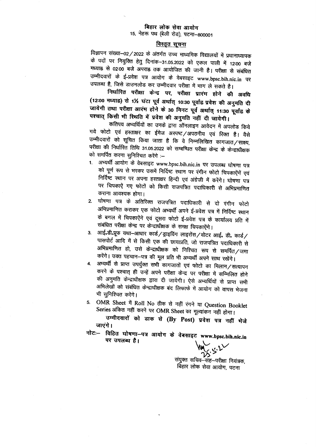## बिहार लोक सेवा आयोग 15, नेहरू पथ (बेली रोड), पटना-800001

## विस्तृत सूचना

विज्ञापन संख्या-02/2022 के अंतर्गत उच्च माध्यमिक विद्यालयों में प्रधानाध्यापक के पदों पर नियुक्ति हेतु दिनांक-31.05.2022 को एकल पाली में 12:00 बजे मध्याह्न से 02:00 बजे अपराह्न तक आयोजित की जानी है। परीक्षा से संबंधित उम्मीदवारों के ई-प्रवेश पत्र आयोग के वेबसाइट www.bpsc.bih.nic.in पर उपलब्ध है, जिसे डाउनलोड कर उम्मीदवार परीक्षा में भाग ले सकते है।

निर्धारित परीक्षा केन्द्र पर, परीक्षा प्रारंम होने की अवधि (12:00 मध्याह्न) से 1½ घंटा पूर्व अर्थात् 10:30 पूर्वाह्न प्रवेश की अनुमति दी जायेगी तथा परीक्षा आरंभ होने के 30 मिनट पूर्व अर्थात् 11:30 पूर्वाह्न के पश्चात् किसी भी स्थिति में प्रवेश की अनुमति नहीं दी जायेगी।

कतिपय अभ्यर्थियों का उनके द्वारा ऑनलाइन आवेदन में अपलोड किये गये फोटो एवं हस्ताक्षर का ईमेज अस्पष्ट/अपठनीय एवं रिक्त है। वैसे उम्मीदवारों को सूचित किया जाता है कि वे निम्नलिखित कागजात/साक्ष्य, परीक्षा की निर्धारित तिथि 31.05.2022 को सम्बन्धित परीक्षा केन्द्र के केन्द्राधीक्षक को समर्पित करना सुनिश्चित करेंगे :--

- 1. अभ्यर्थी आयोग के वेबसाइट www.bpsc.bih.nic.in पर उपलब्ध घोषणा पत्र को पूर्ण रूप से भरकर उसमें निर्दिष्ट स्थान पर रंगीन फोटो चिपकाऐंगें एवं निर्दिष्ट स्थान पर अपना हस्ताक्षर हिन्दी एवं अंग्रेजी में करेंगे। घोषणा पत्र पर चिपकाऐं गए फोटों को किसी राजपत्रित पदाधिकारी से अभिप्रमाणित कराना आवश्यक होगा।
- 2. घोषणा पत्र के अतिरिक्त राजपत्रित पदाधिकारी से दो रंगीन फोटो अभिप्रमाणित कराकर एक फोटो अभ्यर्थी अपने ई-प्रवेश पत्र में निर्दिष्ट स्थान के बगल में चिपकाऐंगे एवं दूसरा फोटो ई-प्रवेश पत्र के कार्यालय प्रति में संबंधित परीक्षा केन्द्र पर केन्द्राधीक्षक के समक्ष चिपकाऐंगे।
- आई॰डी॰प्रूफ यथा–आधार कार्ड/ड्राइविंग लाइसेंस/वोटर आई॰ डी॰ कार्ड/  $3<sub>l</sub>$ पासपोर्ट आदि में से किसी एक की छायाप्रति, जो राजपत्रित पदाधिकारी से अभिप्रमाणित हो, उसे केन्द्राधीक्षक को निश्चित रूप से समर्पित/जमा करेंगे। उक्त पहचान-पत्र की मूल प्रति भी अभ्यर्थी अपने साथ रखेंगे।
- अभ्यर्थी से प्राप्त उपर्युक्त सभी कागजातों एवं फोटो का मिलान/सत्यापन  $\overline{4}$ . करने के पश्चात् ही उन्हें अपने परीक्षा केन्द्र पर परीक्षा में सम्मिलित होने की अनुमति केन्द्राधीक्षक द्वारा दी जायेगी। ऐसे अभ्यर्थियों से प्राप्त सभी अभिलेखों को संबंधित केन्द्राधीक्षक बंद लिफाफे में आयोग को वापस भेजना भी सुनिश्चित करेंगे।

5. OMR Sheet में Roll No ठीक से नहीं रंगने या Question Booklet Series अंकित नहीं करने पर OMR Sheet का मूल्यांकन नहीं होगा।

उम्मीदवारों को डाक से (By Post) प्रवेश पत्र नहीं भेजे जाएंगे ।

नोटः- विहित घोषणा-पत्र आयोग के वेबसाइट www.bpsc.bih.nic.in पर उपलब्ध है।

संयुक्त सचिव-सह-परीक्षा नियंत्रक, बिहार लोक सेवा आयोग, पटना